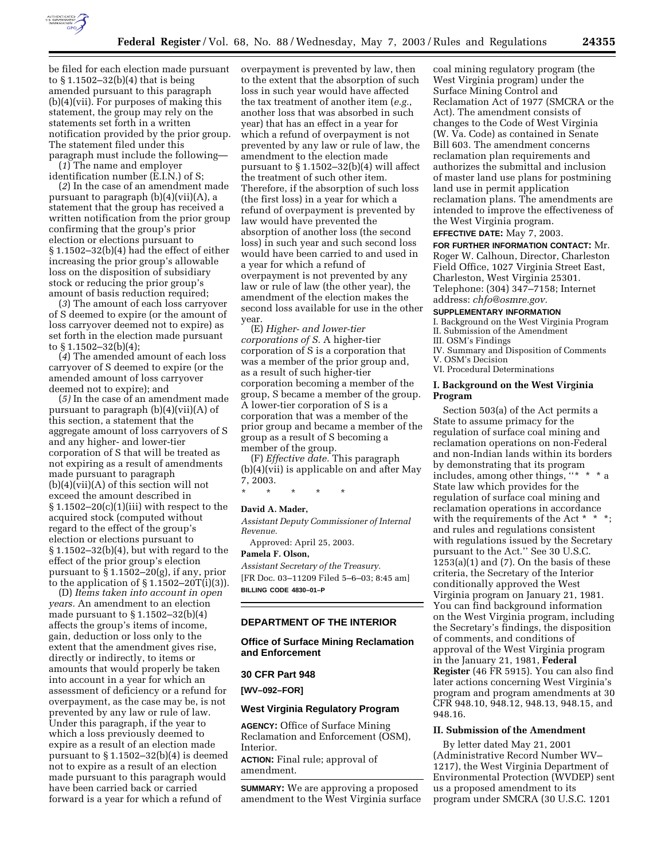

be filed for each election made pursuant to § 1.1502–32(b)(4) that is being amended pursuant to this paragraph (b)(4)(vii). For purposes of making this statement, the group may rely on the statements set forth in a written notification provided by the prior group. The statement filed under this paragraph must include the following—

(*1*) The name and employer identification number (E.I.N.) of S;

(*2*) In the case of an amendment made pursuant to paragraph (b)(4)(vii)(A), a statement that the group has received a written notification from the prior group confirming that the group's prior election or elections pursuant to § 1.1502–32(b)(4) had the effect of either increasing the prior group's allowable loss on the disposition of subsidiary stock or reducing the prior group's amount of basis reduction required;

(*3*) The amount of each loss carryover of S deemed to expire (or the amount of loss carryover deemed not to expire) as set forth in the election made pursuant to § 1.1502–32(b)(4);

(*4*) The amended amount of each loss carryover of S deemed to expire (or the amended amount of loss carryover deemed not to expire); and

(*5)* In the case of an amendment made pursuant to paragraph  $(b)(4)(vii)(A)$  of this section, a statement that the aggregate amount of loss carryovers of S and any higher- and lower-tier corporation of S that will be treated as not expiring as a result of amendments made pursuant to paragraph (b)(4)(vii)(A) of this section will not exceed the amount described in  $§ 1.1502-20(c)(1)(iii) with respect to the$ acquired stock (computed without regard to the effect of the group's election or elections pursuant to § 1.1502–32(b)(4), but with regard to the effect of the prior group's election pursuant to  $\S 1.1502 - 20(g)$ , if any, prior to the application of  $\S 1.1502 - 20T(i)(3)$ .

(D) *Items taken into account in open years.* An amendment to an election made pursuant to § 1.1502–32(b)(4) affects the group's items of income, gain, deduction or loss only to the extent that the amendment gives rise, directly or indirectly, to items or amounts that would properly be taken into account in a year for which an assessment of deficiency or a refund for overpayment, as the case may be, is not prevented by any law or rule of law. Under this paragraph, if the year to which a loss previously deemed to expire as a result of an election made pursuant to § 1.1502–32(b)(4) is deemed not to expire as a result of an election made pursuant to this paragraph would have been carried back or carried forward is a year for which a refund of

overpayment is prevented by law, then to the extent that the absorption of such loss in such year would have affected the tax treatment of another item (*e.g.*, another loss that was absorbed in such year) that has an effect in a year for which a refund of overpayment is not prevented by any law or rule of law, the amendment to the election made pursuant to § 1.1502–32(b)(4) will affect the treatment of such other item. Therefore, if the absorption of such loss (the first loss) in a year for which a refund of overpayment is prevented by law would have prevented the absorption of another loss (the second loss) in such year and such second loss would have been carried to and used in a year for which a refund of overpayment is not prevented by any law or rule of law (the other year), the amendment of the election makes the second loss available for use in the other year.

(E) *Higher- and lower-tier corporations of S.* A higher-tier corporation of S is a corporation that was a member of the prior group and, as a result of such higher-tier corporation becoming a member of the group, S became a member of the group. A lower-tier corporation of S is a corporation that was a member of the prior group and became a member of the group as a result of S becoming a member of the group.

(F) *Effective date.* This paragraph (b)(4)(vii) is applicable on and after May 7, 2003.

\* \* \* \* \*

### **David A. Mader,**

*Assistant Deputy Commissioner of Internal Revenue.* 

Approved: April 25, 2003.

### **Pamela F. Olson,**

*Assistant Secretary of the Treasury.* [FR Doc. 03–11209 Filed 5–6–03; 8:45 am] **BILLING CODE 4830–01–P**

# **DEPARTMENT OF THE INTERIOR**

# **Office of Surface Mining Reclamation and Enforcement**

### **30 CFR Part 948**

**[WV–092–FOR]** 

### **West Virginia Regulatory Program**

**AGENCY:** Office of Surface Mining Reclamation and Enforcement (OSM), Interior.

**ACTION:** Final rule; approval of amendment.

**SUMMARY:** We are approving a proposed amendment to the West Virginia surface

coal mining regulatory program (the West Virginia program) under the Surface Mining Control and Reclamation Act of 1977 (SMCRA or the Act). The amendment consists of changes to the Code of West Virginia (W. Va. Code) as contained in Senate Bill 603. The amendment concerns reclamation plan requirements and authorizes the submittal and inclusion of master land use plans for postmining land use in permit application reclamation plans. The amendments are intended to improve the effectiveness of the West Virginia program.

# **EFFECTIVE DATE:** May 7, 2003.

**FOR FURTHER INFORMATION CONTACT:** Mr. Roger W. Calhoun, Director, Charleston Field Office, 1027 Virginia Street East, Charleston, West Virginia 25301. Telephone: (304) 347–7158; Internet address: *chfo@osmre.gov.*

### **SUPPLEMENTARY INFORMATION**

I. Background on the West Virginia Program II. Submission of the Amendment

- III. OSM's Findings
- IV. Summary and Disposition of Comments V. OSM's Decision
- VI. Procedural Determinations

### **I. Background on the West Virginia Program**

Section 503(a) of the Act permits a State to assume primacy for the regulation of surface coal mining and reclamation operations on non-Federal and non-Indian lands within its borders by demonstrating that its program includes, among other things, ''\* \* \* a State law which provides for the regulation of surface coal mining and reclamation operations in accordance with the requirements of the Act \* \* \*; and rules and regulations consistent with regulations issued by the Secretary pursuant to the Act.'' See 30 U.S.C.  $1253(a)(1)$  and  $(7)$ . On the basis of these criteria, the Secretary of the Interior conditionally approved the West Virginia program on January 21, 1981. You can find background information on the West Virginia program, including the Secretary's findings, the disposition of comments, and conditions of approval of the West Virginia program in the January 21, 1981, **Federal Register** (46 FR 5915). You can also find later actions concerning West Virginia's program and program amendments at 30 CFR 948.10, 948.12, 948.13, 948.15, and 948.16.

# **II. Submission of the Amendment**

By letter dated May 21, 2001 (Administrative Record Number WV– 1217), the West Virginia Department of Environmental Protection (WVDEP) sent us a proposed amendment to its program under SMCRA (30 U.S.C. 1201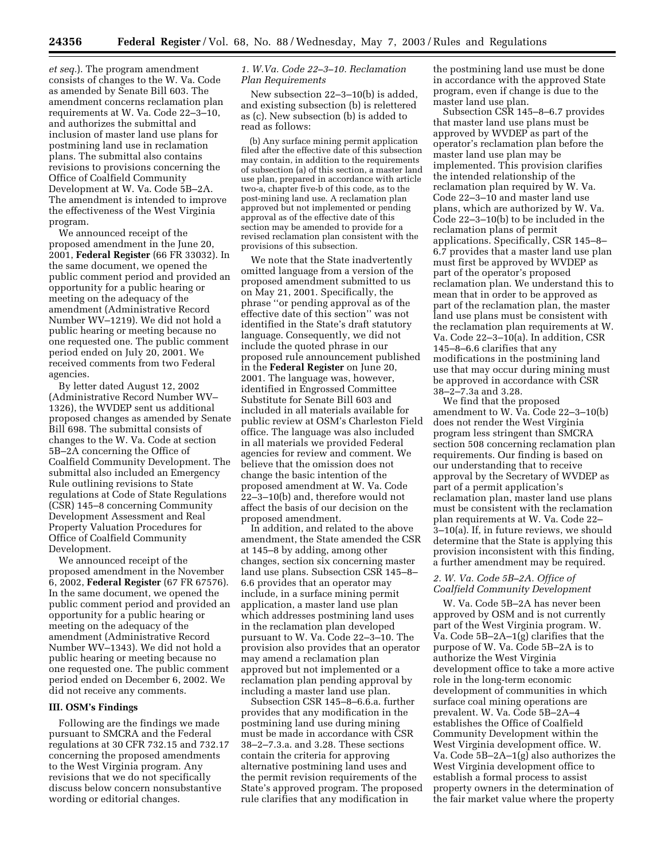*et seq.*). The program amendment consists of changes to the W. Va. Code as amended by Senate Bill 603. The amendment concerns reclamation plan requirements at W. Va. Code 22–3–10, and authorizes the submittal and inclusion of master land use plans for postmining land use in reclamation plans. The submittal also contains revisions to provisions concerning the Office of Coalfield Community Development at W. Va. Code 5B–2A. The amendment is intended to improve the effectiveness of the West Virginia program.

We announced receipt of the proposed amendment in the June 20, 2001, **Federal Register** (66 FR 33032). In the same document, we opened the public comment period and provided an opportunity for a public hearing or meeting on the adequacy of the amendment (Administrative Record Number WV–1219). We did not hold a public hearing or meeting because no one requested one. The public comment period ended on July 20, 2001. We received comments from two Federal agencies.

By letter dated August 12, 2002 (Administrative Record Number WV– 1326), the WVDEP sent us additional proposed changes as amended by Senate Bill 698. The submittal consists of changes to the W. Va. Code at section 5B–2A concerning the Office of Coalfield Community Development. The submittal also included an Emergency Rule outlining revisions to State regulations at Code of State Regulations (CSR) 145–8 concerning Community Development Assessment and Real Property Valuation Procedures for Office of Coalfield Community Development.

We announced receipt of the proposed amendment in the November 6, 2002, **Federal Register** (67 FR 67576). In the same document, we opened the public comment period and provided an opportunity for a public hearing or meeting on the adequacy of the amendment (Administrative Record Number WV–1343). We did not hold a public hearing or meeting because no one requested one. The public comment period ended on December 6, 2002. We did not receive any comments.

#### **III. OSM's Findings**

Following are the findings we made pursuant to SMCRA and the Federal regulations at 30 CFR 732.15 and 732.17 concerning the proposed amendments to the West Virginia program. Any revisions that we do not specifically discuss below concern nonsubstantive wording or editorial changes.

# *1. W.Va. Code 22–3–10. Reclamation Plan Requirements*

New subsection 22–3–10(b) is added, and existing subsection (b) is relettered as (c). New subsection (b) is added to read as follows:

(b) Any surface mining permit application filed after the effective date of this subsection may contain, in addition to the requirements of subsection (a) of this section, a master land use plan, prepared in accordance with article two-a, chapter five-b of this code, as to the post-mining land use. A reclamation plan approved but not implemented or pending approval as of the effective date of this section may be amended to provide for a revised reclamation plan consistent with the provisions of this subsection.

We note that the State inadvertently omitted language from a version of the proposed amendment submitted to us on May 21, 2001. Specifically, the phrase ''or pending approval as of the effective date of this section'' was not identified in the State's draft statutory language. Consequently, we did not include the quoted phrase in our proposed rule announcement published in the **Federal Register** on June 20, 2001. The language was, however, identified in Engrossed Committee Substitute for Senate Bill 603 and included in all materials available for public review at OSM's Charleston Field office. The language was also included in all materials we provided Federal agencies for review and comment. We believe that the omission does not change the basic intention of the proposed amendment at W. Va. Code 22–3–10(b) and, therefore would not affect the basis of our decision on the proposed amendment.

In addition, and related to the above amendment, the State amended the CSR at 145–8 by adding, among other changes, section six concerning master land use plans. Subsection CSR 145–8– 6.6 provides that an operator may include, in a surface mining permit application, a master land use plan which addresses postmining land uses in the reclamation plan developed pursuant to W. Va. Code 22–3–10. The provision also provides that an operator may amend a reclamation plan approved but not implemented or a reclamation plan pending approval by including a master land use plan.

Subsection CSR 145–8–6.6.a. further provides that any modification in the postmining land use during mining must be made in accordance with CSR 38–2–7.3.a. and 3.28. These sections contain the criteria for approving alternative postmining land uses and the permit revision requirements of the State's approved program. The proposed rule clarifies that any modification in

the postmining land use must be done in accordance with the approved State program, even if change is due to the master land use plan.

Subsection CSR 145–8–6.7 provides that master land use plans must be approved by WVDEP as part of the operator's reclamation plan before the master land use plan may be implemented. This provision clarifies the intended relationship of the reclamation plan required by W. Va. Code 22–3–10 and master land use plans, which are authorized by W. Va. Code 22–3–10(b) to be included in the reclamation plans of permit applications. Specifically, CSR 145–8– 6.7 provides that a master land use plan must first be approved by WVDEP as part of the operator's proposed reclamation plan. We understand this to mean that in order to be approved as part of the reclamation plan, the master land use plans must be consistent with the reclamation plan requirements at W. Va. Code 22–3–10(a). In addition, CSR 145–8–6.6 clarifies that any modifications in the postmining land use that may occur during mining must be approved in accordance with CSR 38–2–7.3a and 3.28.

We find that the proposed amendment to W. Va. Code 22–3–10(b) does not render the West Virginia program less stringent than SMCRA section 508 concerning reclamation plan requirements. Our finding is based on our understanding that to receive approval by the Secretary of WVDEP as part of a permit application's reclamation plan, master land use plans must be consistent with the reclamation plan requirements at W. Va. Code 22– 3–10(a). If, in future reviews, we should determine that the State is applying this provision inconsistent with this finding, a further amendment may be required.

# *2. W. Va. Code 5B–2A. Office of Coalfield Community Development*

W. Va. Code 5B–2A has never been approved by OSM and is not currently part of the West Virginia program. W. Va. Code 5B–2A–1(g) clarifies that the purpose of W. Va. Code 5B–2A is to authorize the West Virginia development office to take a more active role in the long-term economic development of communities in which surface coal mining operations are prevalent. W. Va. Code 5B–2A–4 establishes the Office of Coalfield Community Development within the West Virginia development office. W. Va. Code 5B–2A–1(g) also authorizes the West Virginia development office to establish a formal process to assist property owners in the determination of the fair market value where the property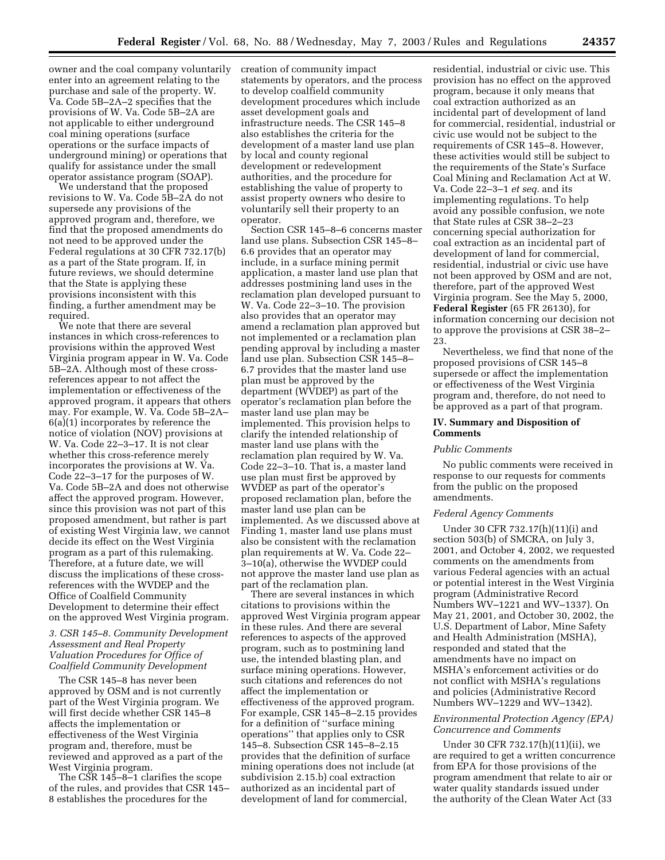owner and the coal company voluntarily enter into an agreement relating to the purchase and sale of the property. W. Va. Code 5B–2A–2 specifies that the provisions of W. Va. Code 5B–2A are not applicable to either underground coal mining operations (surface operations or the surface impacts of underground mining) or operations that qualify for assistance under the small operator assistance program (SOAP).

We understand that the proposed revisions to W. Va. Code 5B–2A do not supersede any provisions of the approved program and, therefore, we find that the proposed amendments do not need to be approved under the Federal regulations at 30 CFR 732.17(b) as a part of the State program. If, in future reviews, we should determine that the State is applying these provisions inconsistent with this finding, a further amendment may be required.

We note that there are several instances in which cross-references to provisions within the approved West Virginia program appear in W. Va. Code 5B–2A. Although most of these crossreferences appear to not affect the implementation or effectiveness of the approved program, it appears that others may. For example, W. Va. Code 5B–2A– 6(a)(1) incorporates by reference the notice of violation (NOV) provisions at W. Va. Code 22–3–17. It is not clear whether this cross-reference merely incorporates the provisions at W. Va. Code 22–3–17 for the purposes of W. Va. Code 5B–2A and does not otherwise affect the approved program. However, since this provision was not part of this proposed amendment, but rather is part of existing West Virginia law, we cannot decide its effect on the West Virginia program as a part of this rulemaking. Therefore, at a future date, we will discuss the implications of these crossreferences with the WVDEP and the Office of Coalfield Community Development to determine their effect on the approved West Virginia program.

# *3. CSR 145–8. Community Development Assessment and Real Property Valuation Procedures for Office of Coalfield Community Development*

The CSR 145–8 has never been approved by OSM and is not currently part of the West Virginia program. We will first decide whether CSR 145–8 affects the implementation or effectiveness of the West Virginia program and, therefore, must be reviewed and approved as a part of the West Virginia program.

The CSR 145–8–1 clarifies the scope of the rules, and provides that CSR 145– 8 establishes the procedures for the

creation of community impact statements by operators, and the process to develop coalfield community development procedures which include asset development goals and infrastructure needs. The CSR 145–8 also establishes the criteria for the development of a master land use plan by local and county regional development or redevelopment authorities, and the procedure for establishing the value of property to assist property owners who desire to voluntarily sell their property to an operator.

Section CSR 145–8–6 concerns master land use plans. Subsection CSR 145–8– 6.6 provides that an operator may include, in a surface mining permit application, a master land use plan that addresses postmining land uses in the reclamation plan developed pursuant to W. Va. Code 22–3–10. The provision also provides that an operator may amend a reclamation plan approved but not implemented or a reclamation plan pending approval by including a master land use plan. Subsection CSR 145–8– 6.7 provides that the master land use plan must be approved by the department (WVDEP) as part of the operator's reclamation plan before the master land use plan may be implemented. This provision helps to clarify the intended relationship of master land use plans with the reclamation plan required by W. Va. Code 22–3–10. That is, a master land use plan must first be approved by WVDEP as part of the operator's proposed reclamation plan, before the master land use plan can be implemented. As we discussed above at Finding 1, master land use plans must also be consistent with the reclamation plan requirements at W. Va. Code 22– 3–10(a), otherwise the WVDEP could not approve the master land use plan as part of the reclamation plan.

There are several instances in which citations to provisions within the approved West Virginia program appear in these rules. And there are several references to aspects of the approved program, such as to postmining land use, the intended blasting plan, and surface mining operations. However, such citations and references do not affect the implementation or effectiveness of the approved program. For example, CSR 145–8–2.15 provides for a definition of ''surface mining operations'' that applies only to CSR 145–8. Subsection CSR 145–8–2.15 provides that the definition of surface mining operations does not include (at subdivision 2.15.b) coal extraction authorized as an incidental part of development of land for commercial,

residential, industrial or civic use. This provision has no effect on the approved program, because it only means that coal extraction authorized as an incidental part of development of land for commercial, residential, industrial or civic use would not be subject to the requirements of CSR 145–8. However, these activities would still be subject to the requirements of the State's Surface Coal Mining and Reclamation Act at W. Va. Code 22–3–1 *et seq.* and its implementing regulations. To help avoid any possible confusion, we note that State rules at CSR 38–2–23 concerning special authorization for coal extraction as an incidental part of development of land for commercial, residential, industrial or civic use have not been approved by OSM and are not, therefore, part of the approved West Virginia program. See the May 5, 2000, **Federal Register** (65 FR 26130), for information concerning our decision not to approve the provisions at CSR 38–2– 23.

Nevertheless, we find that none of the proposed provisions of CSR 145–8 supersede or affect the implementation or effectiveness of the West Virginia program and, therefore, do not need to be approved as a part of that program.

# **IV. Summary and Disposition of Comments**

# *Public Comments*

No public comments were received in response to our requests for comments from the public on the proposed amendments.

# *Federal Agency Comments*

Under 30 CFR 732.17(h)(11)(i) and section 503(b) of SMCRA, on July 3, 2001, and October 4, 2002, we requested comments on the amendments from various Federal agencies with an actual or potential interest in the West Virginia program (Administrative Record Numbers WV–1221 and WV–1337). On May 21, 2001, and October 30, 2002, the U.S. Department of Labor, Mine Safety and Health Administration (MSHA), responded and stated that the amendments have no impact on MSHA's enforcement activities or do not conflict with MSHA's regulations and policies (Administrative Record Numbers WV–1229 and WV–1342).

# *Environmental Protection Agency (EPA) Concurrence and Comments*

Under 30 CFR 732.17(h)(11)(ii), we are required to get a written concurrence from EPA for those provisions of the program amendment that relate to air or water quality standards issued under the authority of the Clean Water Act (33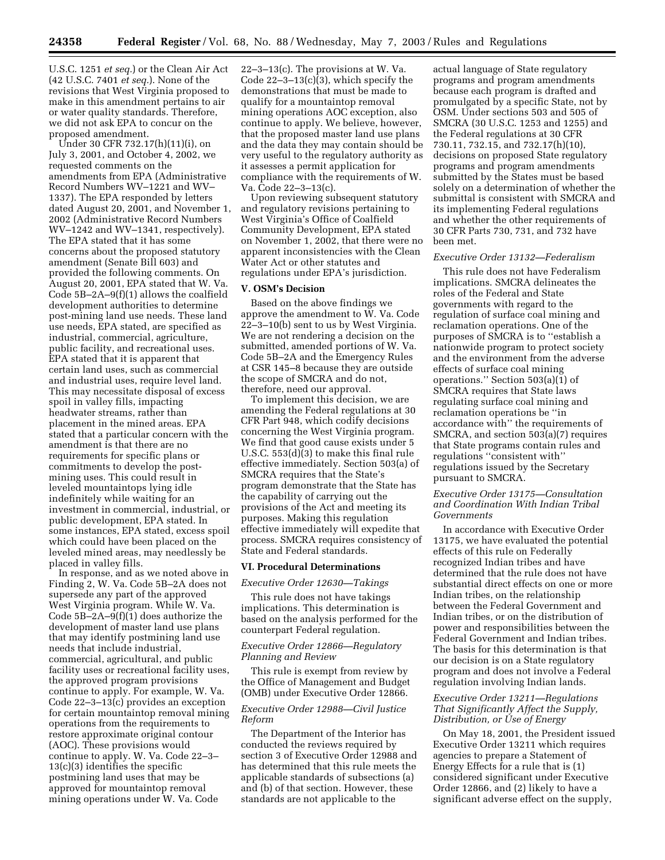U.S.C. 1251 *et seq.*) or the Clean Air Act (42 U.S.C. 7401 *et seq.*). None of the revisions that West Virginia proposed to make in this amendment pertains to air or water quality standards. Therefore, we did not ask EPA to concur on the proposed amendment.

Under 30 CFR 732.17(h)(11)(i), on July 3, 2001, and October 4, 2002, we requested comments on the amendments from EPA (Administrative Record Numbers WV–1221 and WV– 1337). The EPA responded by letters dated August 20, 2001, and November 1, 2002 (Administrative Record Numbers WV–1242 and WV–1341, respectively). The EPA stated that it has some concerns about the proposed statutory amendment (Senate Bill 603) and provided the following comments. On August 20, 2001, EPA stated that W. Va. Code 5B–2A–9(f)(1) allows the coalfield development authorities to determine post-mining land use needs. These land use needs, EPA stated, are specified as industrial, commercial, agriculture, public facility, and recreational uses. EPA stated that it is apparent that certain land uses, such as commercial and industrial uses, require level land. This may necessitate disposal of excess spoil in valley fills, impacting headwater streams, rather than placement in the mined areas. EPA stated that a particular concern with the amendment is that there are no requirements for specific plans or commitments to develop the postmining uses. This could result in leveled mountaintops lying idle indefinitely while waiting for an investment in commercial, industrial, or public development, EPA stated. In some instances, EPA stated, excess spoil which could have been placed on the leveled mined areas, may needlessly be placed in valley fills.

In response, and as we noted above in Finding 2, W. Va. Code 5B–2A does not supersede any part of the approved West Virginia program. While W. Va. Code  $5B-2A-9(f)(1)$  does authorize the development of master land use plans that may identify postmining land use needs that include industrial, commercial, agricultural, and public facility uses or recreational facility uses, the approved program provisions continue to apply. For example, W. Va. Code 22–3–13(c) provides an exception for certain mountaintop removal mining operations from the requirements to restore approximate original contour (AOC). These provisions would continue to apply. W. Va. Code 22–3– 13(c)(3) identifies the specific postmining land uses that may be approved for mountaintop removal mining operations under W. Va. Code

22–3–13(c). The provisions at W. Va. Code  $22-3-13(c)(3)$ , which specify the demonstrations that must be made to qualify for a mountaintop removal mining operations AOC exception, also continue to apply. We believe, however, that the proposed master land use plans and the data they may contain should be very useful to the regulatory authority as it assesses a permit application for compliance with the requirements of W. Va. Code 22–3–13(c).

Upon reviewing subsequent statutory and regulatory revisions pertaining to West Virginia's Office of Coalfield Community Development, EPA stated on November 1, 2002, that there were no apparent inconsistencies with the Clean Water Act or other statutes and regulations under EPA's jurisdiction.

# **V. OSM's Decision**

Based on the above findings we approve the amendment to W. Va. Code 22–3–10(b) sent to us by West Virginia. We are not rendering a decision on the submitted, amended portions of W. Va. Code 5B–2A and the Emergency Rules at CSR 145–8 because they are outside the scope of SMCRA and do not, therefore, need our approval.

To implement this decision, we are amending the Federal regulations at 30 CFR Part 948, which codify decisions concerning the West Virginia program. We find that good cause exists under 5 U.S.C. 553(d)(3) to make this final rule effective immediately. Section 503(a) of SMCRA requires that the State's program demonstrate that the State has the capability of carrying out the provisions of the Act and meeting its purposes. Making this regulation effective immediately will expedite that process. SMCRA requires consistency of State and Federal standards.

### **VI. Procedural Determinations**

### *Executive Order 12630—Takings*

This rule does not have takings implications. This determination is based on the analysis performed for the counterpart Federal regulation.

# *Executive Order 12866—Regulatory Planning and Review*

This rule is exempt from review by the Office of Management and Budget (OMB) under Executive Order 12866.

# *Executive Order 12988—Civil Justice Reform*

The Department of the Interior has conducted the reviews required by section 3 of Executive Order 12988 and has determined that this rule meets the applicable standards of subsections (a) and (b) of that section. However, these standards are not applicable to the

actual language of State regulatory programs and program amendments because each program is drafted and promulgated by a specific State, not by OSM. Under sections 503 and 505 of SMCRA (30 U.S.C. 1253 and 1255) and the Federal regulations at 30 CFR 730.11, 732.15, and 732.17(h)(10), decisions on proposed State regulatory programs and program amendments submitted by the States must be based solely on a determination of whether the submittal is consistent with SMCRA and its implementing Federal regulations and whether the other requirements of 30 CFR Parts 730, 731, and 732 have been met.

#### *Executive Order 13132—Federalism*

This rule does not have Federalism implications. SMCRA delineates the roles of the Federal and State governments with regard to the regulation of surface coal mining and reclamation operations. One of the purposes of SMCRA is to ''establish a nationwide program to protect society and the environment from the adverse effects of surface coal mining operations.'' Section 503(a)(1) of SMCRA requires that State laws regulating surface coal mining and reclamation operations be ''in accordance with'' the requirements of SMCRA, and section 503(a)(7) requires that State programs contain rules and regulations ''consistent with'' regulations issued by the Secretary pursuant to SMCRA.

# *Executive Order 13175—Consultation and Coordination With Indian Tribal Governments*

In accordance with Executive Order 13175, we have evaluated the potential effects of this rule on Federally recognized Indian tribes and have determined that the rule does not have substantial direct effects on one or more Indian tribes, on the relationship between the Federal Government and Indian tribes, or on the distribution of power and responsibilities between the Federal Government and Indian tribes. The basis for this determination is that our decision is on a State regulatory program and does not involve a Federal regulation involving Indian lands.

# *Executive Order 13211—Regulations That Significantly Affect the Supply, Distribution, or Use of Energy*

On May 18, 2001, the President issued Executive Order 13211 which requires agencies to prepare a Statement of Energy Effects for a rule that is (1) considered significant under Executive Order 12866, and (2) likely to have a significant adverse effect on the supply,